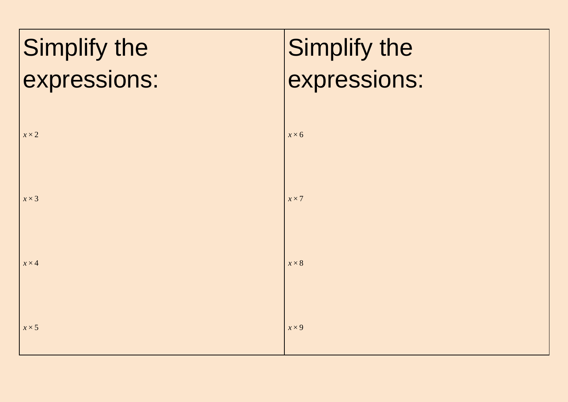| Simplify the | Simplify the |
|--------------|--------------|
| expressions: | expressions: |
| $x \times 2$ | $x \times 6$ |
| $x \times 3$ | $x \times 7$ |
| $x \times 4$ | $x \times 8$ |
| $x \times 5$ | $x \times 9$ |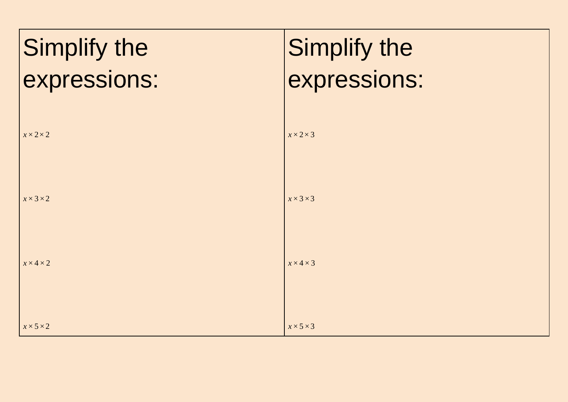| Simplify the          | Simplify the          |
|-----------------------|-----------------------|
| expressions:          | expressions:          |
| $x \times 2 \times 2$ | $x \times 2 \times 3$ |
| $x \times 3 \times 2$ | $x \times 3 \times 3$ |
| $x \times 4 \times 2$ | $x \times 4 \times 3$ |
| $x \times 5 \times 2$ | $x \times 5 \times 3$ |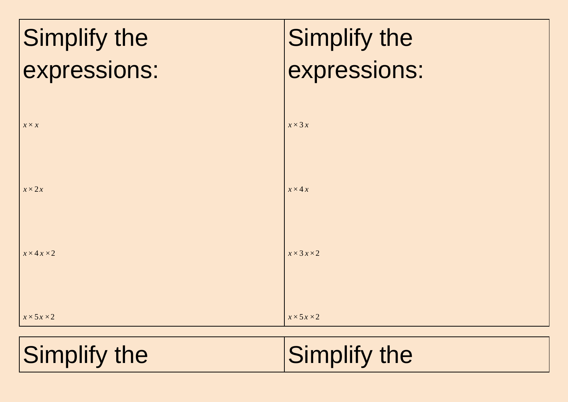| Simplify the           | Simplify the           |
|------------------------|------------------------|
| expressions:           | expressions:           |
|                        |                        |
| $X \times X$           | $x \times 3x$          |
| $x \times 2x$          | $x \times 4x$          |
|                        |                        |
| $x \times 4x \times 2$ | $x \times 3x \times 2$ |
|                        |                        |
| $x \times 5x \times 2$ | $x \times 5x \times 2$ |
|                        |                        |

Simplify the Simplify the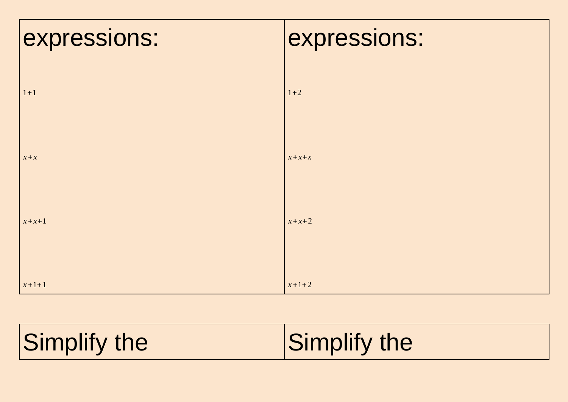| expressions: | expressions: |
|--------------|--------------|
|              |              |
| $1 + 1$      | $1 + 2$      |
|              |              |
| $x + x$      | $x + x + x$  |
|              |              |
| $x + x + 1$  | $x + x + 2$  |
|              |              |
| $x + 1 + 1$  | $x + 1 + 2$  |

| Simplify the<br>Simplify the |
|------------------------------|
|------------------------------|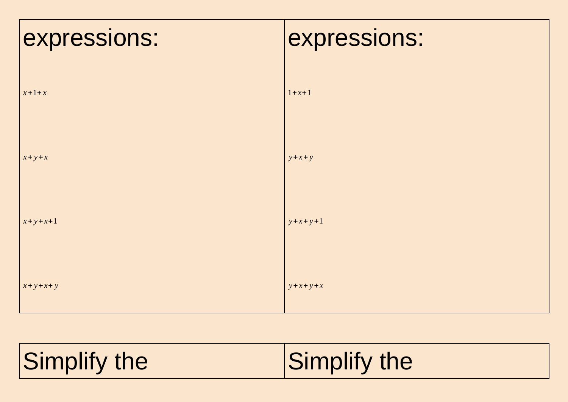| expressions:    | expressions:    |
|-----------------|-----------------|
| $x + 1 + x$     | $1 + x + 1$     |
|                 |                 |
| $x + y + x$     | $y + x + y$     |
| $x + y + x + 1$ | $y + x + y + 1$ |
| $x+y+x+y$       | $y+x+y+x$       |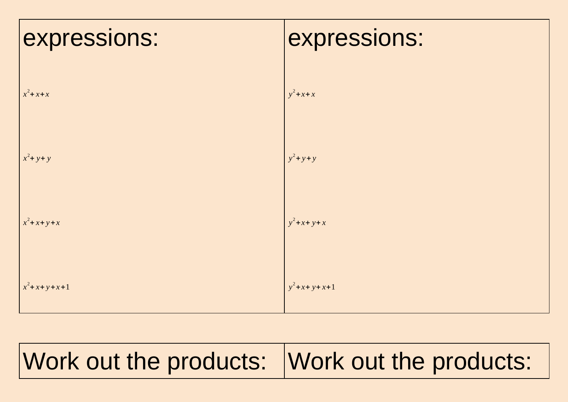| expressions:      | expressions:   |
|-------------------|----------------|
| $x^2$ + $x$ + $x$ | $y^2$ +x+x     |
| $x^2$ + y+ y      | $y^2$ +y+y     |
| $x^2$ +x+y+x      | $y^2$ +x+y+x   |
| $x^2$ +x+y+x+1    | $y^2$ +x+y+x+1 |

## Work out the products: Work out the products: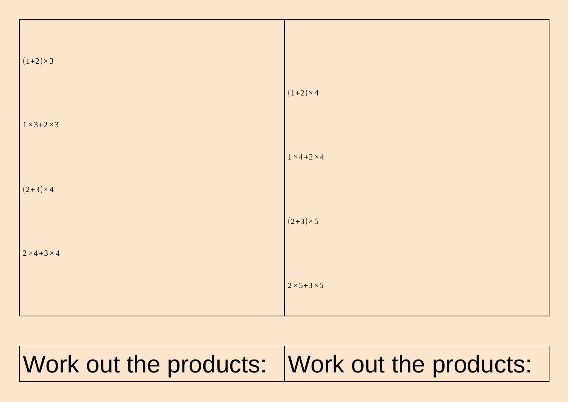| $(1+2) \times 3$                              | $(1+2) \times 4$          |
|-----------------------------------------------|---------------------------|
| $1 \times 3 + 2 \times 3$<br>$(2+3) \times 4$ | $1 \times 4 + 2 \times 4$ |
| $2 \times 4 + 3 \times 4$                     | $(2+3) \times 5$          |
|                                               | $2 \times 5 + 3 \times 5$ |

## Work out the products: Work out the products: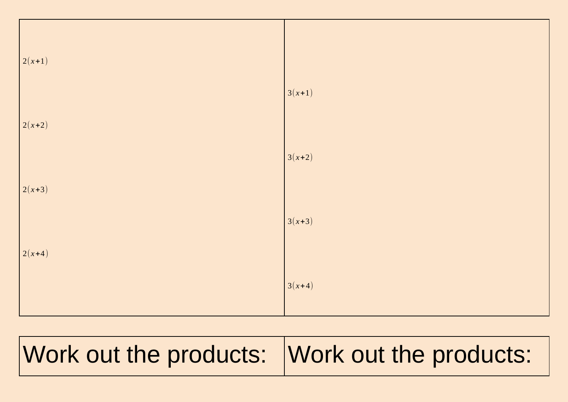

## Work out the products: Work out the products: